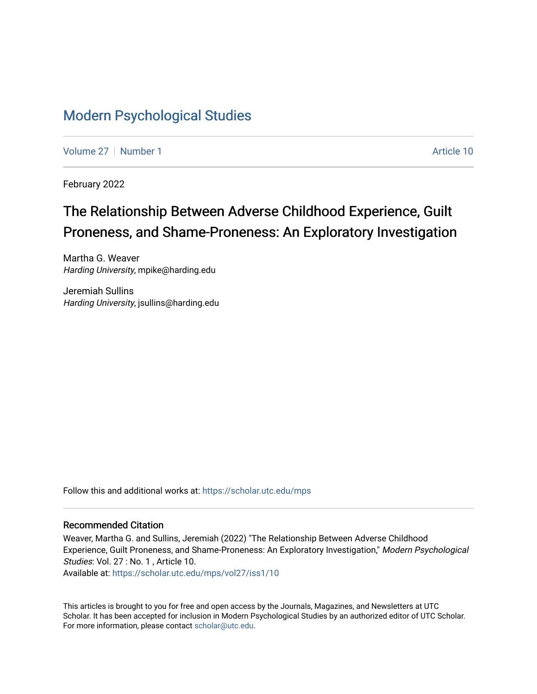## [Modern Psychological Studies](https://scholar.utc.edu/mps)

[Volume 27](https://scholar.utc.edu/mps/vol27) | [Number 1](https://scholar.utc.edu/mps/vol27/iss1) Article 10

February 2022

# The Relationship Between Adverse Childhood Experience, Guilt Proneness, and Shame-Proneness: An Exploratory Investigation

Martha G. Weaver Harding University, mpike@harding.edu

Jeremiah Sullins Harding University, jsullins@harding.edu

Follow this and additional works at: [https://scholar.utc.edu/mps](https://scholar.utc.edu/mps?utm_source=scholar.utc.edu%2Fmps%2Fvol27%2Fiss1%2F10&utm_medium=PDF&utm_campaign=PDFCoverPages) 

## Recommended Citation

Weaver, Martha G. and Sullins, Jeremiah (2022) "The Relationship Between Adverse Childhood Experience, Guilt Proneness, and Shame-Proneness: An Exploratory Investigation," Modern Psychological Studies: Vol. 27 : No. 1 , Article 10.

Available at: [https://scholar.utc.edu/mps/vol27/iss1/10](https://scholar.utc.edu/mps/vol27/iss1/10?utm_source=scholar.utc.edu%2Fmps%2Fvol27%2Fiss1%2F10&utm_medium=PDF&utm_campaign=PDFCoverPages)

This articles is brought to you for free and open access by the Journals, Magazines, and Newsletters at UTC Scholar. It has been accepted for inclusion in Modern Psychological Studies by an authorized editor of UTC Scholar. For more information, please contact [scholar@utc.edu](mailto:scholar@utc.edu).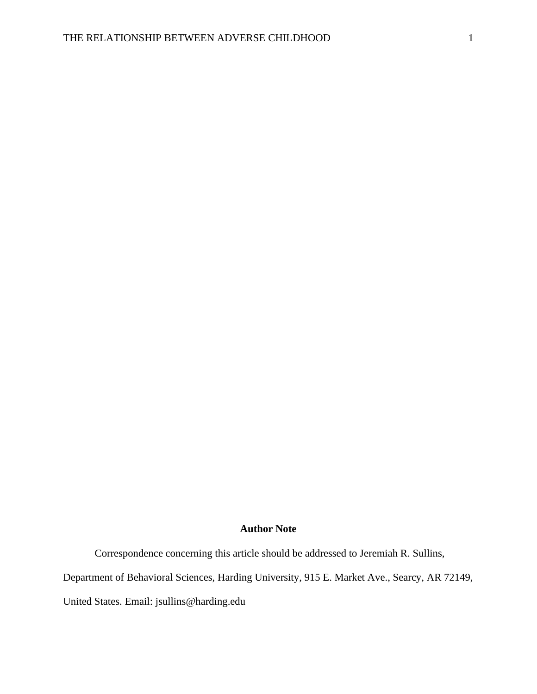#### **Author Note**

Correspondence concerning this article should be addressed to Jeremiah R. Sullins,

Department of Behavioral Sciences, Harding University, 915 E. Market Ave., Searcy, AR 72149,

United States. Email: jsullins@harding.edu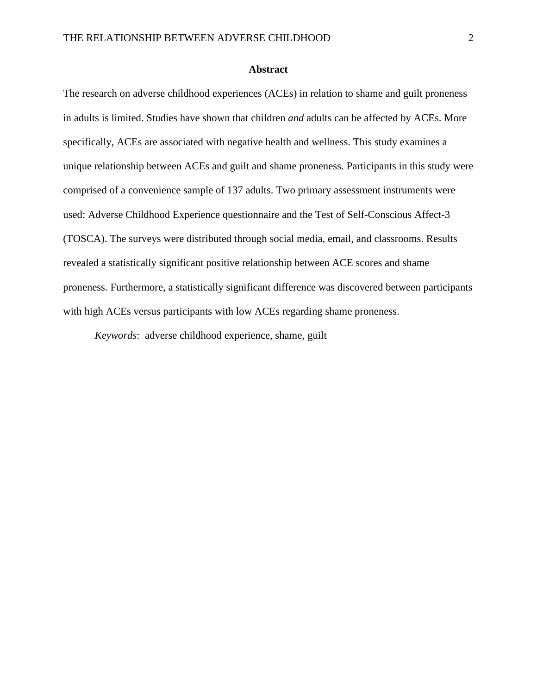## **Abstract**

The research on adverse childhood experiences (ACEs) in relation to shame and guilt proneness in adults is limited. Studies have shown that children *and* adults can be affected by ACEs. More specifically, ACEs are associated with negative health and wellness. This study examines a unique relationship between ACEs and guilt and shame proneness. Participants in this study were comprised of a convenience sample of 137 adults. Two primary assessment instruments were used: Adverse Childhood Experience questionnaire and the Test of Self-Conscious Affect-3 (TOSCA). The surveys were distributed through social media, email, and classrooms. Results revealed a statistically significant positive relationship between ACE scores and shame proneness. Furthermore, a statistically significant difference was discovered between participants with high ACEs versus participants with low ACEs regarding shame proneness.

*Keywords*: adverse childhood experience, shame, guilt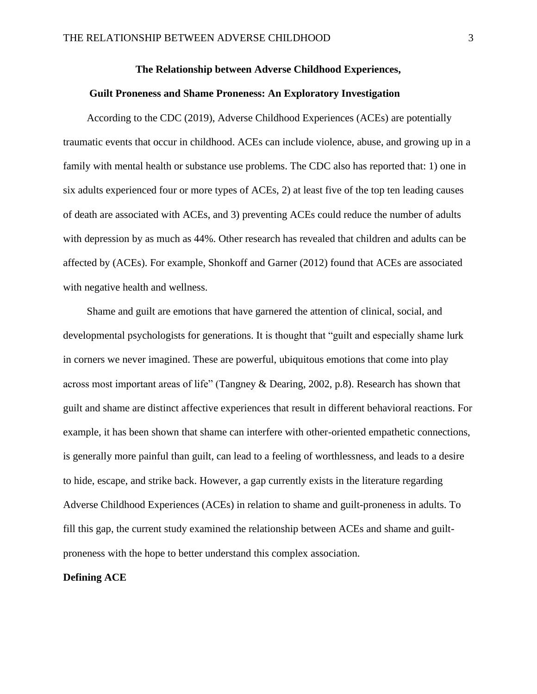### **The Relationship between Adverse Childhood Experiences,**

#### **Guilt Proneness and Shame Proneness: An Exploratory Investigation**

According to the CDC (2019), Adverse Childhood Experiences (ACEs) are potentially traumatic events that occur in childhood. ACEs can include violence, abuse, and growing up in a family with mental health or substance use problems. The CDC also has reported that: 1) one in six adults experienced four or more types of ACEs, 2) at least five of the top ten leading causes of death are associated with ACEs, and 3) preventing ACEs could reduce the number of adults with depression by as much as 44%. Other research has revealed that children and adults can be affected by (ACEs). For example, Shonkoff and Garner (2012) found that ACEs are associated with negative health and wellness.

Shame and guilt are emotions that have garnered the attention of clinical, social, and developmental psychologists for generations. It is thought that "guilt and especially shame lurk in corners we never imagined. These are powerful, ubiquitous emotions that come into play across most important areas of life" (Tangney & Dearing, 2002, p.8). Research has shown that guilt and shame are distinct affective experiences that result in different behavioral reactions. For example, it has been shown that shame can interfere with other-oriented empathetic connections, is generally more painful than guilt, can lead to a feeling of worthlessness, and leads to a desire to hide, escape, and strike back. However, a gap currently exists in the literature regarding Adverse Childhood Experiences (ACEs) in relation to shame and guilt-proneness in adults. To fill this gap, the current study examined the relationship between ACEs and shame and guiltproneness with the hope to better understand this complex association.

## **Defining ACE**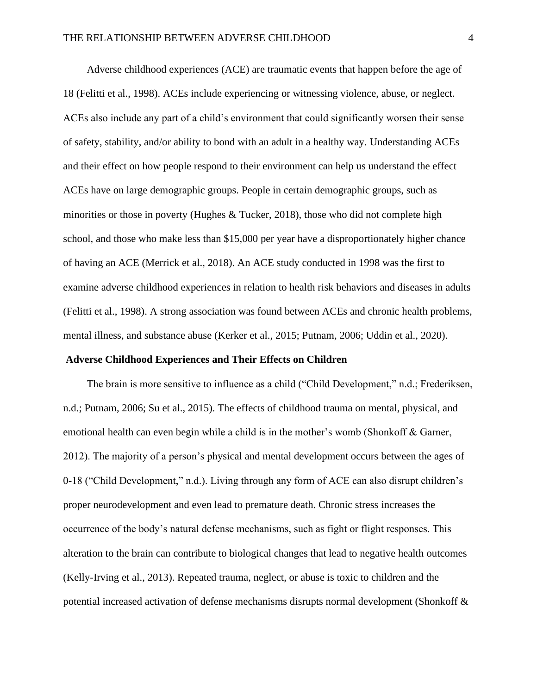Adverse childhood experiences (ACE) are traumatic events that happen before the age of 18 (Felitti et al., 1998). ACEs include experiencing or witnessing violence, abuse, or neglect. ACEs also include any part of a child's environment that could significantly worsen their sense of safety, stability, and/or ability to bond with an adult in a healthy way. Understanding ACEs and their effect on how people respond to their environment can help us understand the effect ACEs have on large demographic groups. People in certain demographic groups, such as minorities or those in poverty (Hughes  $&$  Tucker, 2018), those who did not complete high school, and those who make less than \$15,000 per year have a disproportionately higher chance of having an ACE (Merrick et al., 2018). An ACE study conducted in 1998 was the first to examine adverse childhood experiences in relation to health risk behaviors and diseases in adults (Felitti et al., 1998). A strong association was found between ACEs and chronic health problems, mental illness, and substance abuse (Kerker et al., 2015; Putnam, 2006; Uddin et al., 2020).

#### **Adverse Childhood Experiences and Their Effects on Children**

The brain is more sensitive to influence as a child ("Child Development," n.d.; Frederiksen, n.d.; Putnam, 2006; Su et al., 2015). The effects of childhood trauma on mental, physical, and emotional health can even begin while a child is in the mother's womb (Shonkoff & Garner, 2012). The majority of a person's physical and mental development occurs between the ages of 0-18 ("Child Development," n.d.). Living through any form of ACE can also disrupt children's proper neurodevelopment and even lead to premature death. Chronic stress increases the occurrence of the body's natural defense mechanisms, such as fight or flight responses. This alteration to the brain can contribute to biological changes that lead to negative health outcomes (Kelly-Irving et al., 2013). Repeated trauma, neglect, or abuse is toxic to children and the potential increased activation of defense mechanisms disrupts normal development (Shonkoff &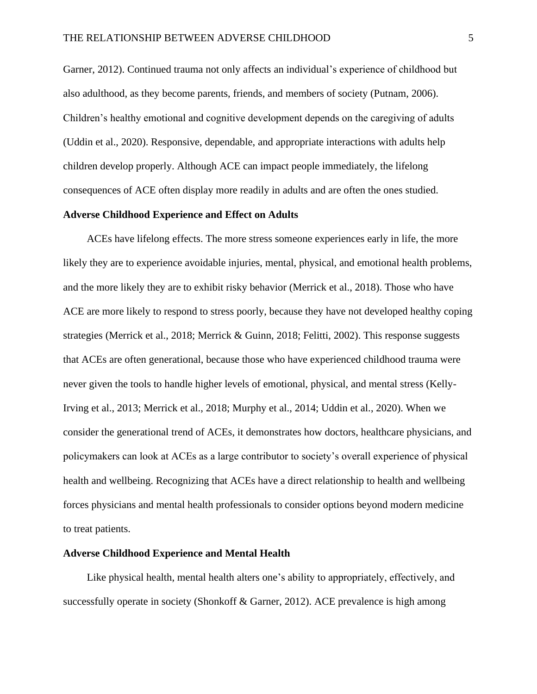Garner, 2012). Continued trauma not only affects an individual's experience of childhood but also adulthood, as they become parents, friends, and members of society (Putnam, 2006). Children's healthy emotional and cognitive development depends on the caregiving of adults (Uddin et al., 2020). Responsive, dependable, and appropriate interactions with adults help children develop properly. Although ACE can impact people immediately, the lifelong consequences of ACE often display more readily in adults and are often the ones studied.

### **Adverse Childhood Experience and Effect on Adults**

ACEs have lifelong effects. The more stress someone experiences early in life, the more likely they are to experience avoidable injuries, mental, physical, and emotional health problems, and the more likely they are to exhibit risky behavior (Merrick et al., 2018). Those who have ACE are more likely to respond to stress poorly, because they have not developed healthy coping strategies (Merrick et al., 2018; Merrick & Guinn, 2018; Felitti, 2002). This response suggests that ACEs are often generational, because those who have experienced childhood trauma were never given the tools to handle higher levels of emotional, physical, and mental stress (Kelly-Irving et al., 2013; Merrick et al., 2018; Murphy et al., 2014; Uddin et al., 2020). When we consider the generational trend of ACEs, it demonstrates how doctors, healthcare physicians, and policymakers can look at ACEs as a large contributor to society's overall experience of physical health and wellbeing. Recognizing that ACEs have a direct relationship to health and wellbeing forces physicians and mental health professionals to consider options beyond modern medicine to treat patients.

#### **Adverse Childhood Experience and Mental Health**

Like physical health, mental health alters one's ability to appropriately, effectively, and successfully operate in society (Shonkoff & Garner, 2012). ACE prevalence is high among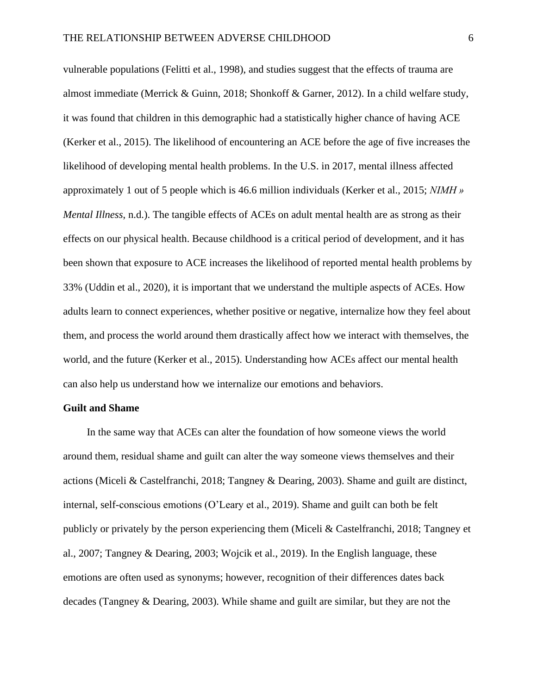vulnerable populations (Felitti et al., 1998), and studies suggest that the effects of trauma are almost immediate (Merrick & Guinn, 2018; Shonkoff & Garner, 2012). In a child welfare study, it was found that children in this demographic had a statistically higher chance of having ACE (Kerker et al., 2015). The likelihood of encountering an ACE before the age of five increases the likelihood of developing mental health problems. In the U.S. in 2017, mental illness affected approximately 1 out of 5 people which is 46.6 million individuals (Kerker et al., 2015; *NIMH » Mental Illness*, n.d.). The tangible effects of ACEs on adult mental health are as strong as their effects on our physical health. Because childhood is a critical period of development, and it has been shown that exposure to ACE increases the likelihood of reported mental health problems by 33% (Uddin et al., 2020), it is important that we understand the multiple aspects of ACEs. How adults learn to connect experiences, whether positive or negative, internalize how they feel about them, and process the world around them drastically affect how we interact with themselves, the world, and the future (Kerker et al., 2015). Understanding how ACEs affect our mental health can also help us understand how we internalize our emotions and behaviors.

#### **Guilt and Shame**

In the same way that ACEs can alter the foundation of how someone views the world around them, residual shame and guilt can alter the way someone views themselves and their actions (Miceli & Castelfranchi, 2018; Tangney & Dearing, 2003). Shame and guilt are distinct, internal, self-conscious emotions (O'Leary et al., 2019). Shame and guilt can both be felt publicly or privately by the person experiencing them (Miceli & Castelfranchi, 2018; Tangney et al., 2007; Tangney & Dearing, 2003; Wojcik et al., 2019). In the English language, these emotions are often used as synonyms; however, recognition of their differences dates back decades (Tangney & Dearing, 2003). While shame and guilt are similar, but they are not the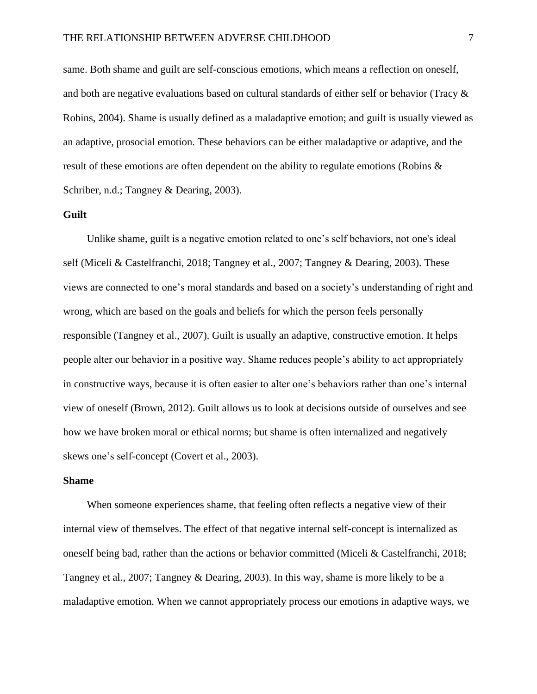same. Both shame and guilt are self-conscious emotions, which means a reflection on oneself, and both are negative evaluations based on cultural standards of either self or behavior (Tracy & Robins, 2004). Shame is usually defined as a maladaptive emotion; and guilt is usually viewed as an adaptive, prosocial emotion. These behaviors can be either maladaptive or adaptive, and the result of these emotions are often dependent on the ability to regulate emotions (Robins & Schriber, n.d.; Tangney & Dearing, 2003).

## **Guilt**

Unlike shame, guilt is a negative emotion related to one's self behaviors, not one's ideal self (Miceli & Castelfranchi, 2018; Tangney et al., 2007; Tangney & Dearing, 2003). These views are connected to one's moral standards and based on a society's understanding of right and wrong, which are based on the goals and beliefs for which the person feels personally responsible (Tangney et al., 2007). Guilt is usually an adaptive, constructive emotion. It helps people alter our behavior in a positive way. Shame reduces people's ability to act appropriately in constructive ways, because it is often easier to alter one's behaviors rather than one's internal view of oneself (Brown, 2012). Guilt allows us to look at decisions outside of ourselves and see how we have broken moral or ethical norms; but shame is often internalized and negatively skews one's self-concept (Covert et al., 2003).

## **Shame**

When someone experiences shame, that feeling often reflects a negative view of their internal view of themselves. The effect of that negative internal self-concept is internalized as oneself being bad, rather than the actions or behavior committed (Miceli & Castelfranchi, 2018; Tangney et al., 2007; Tangney & Dearing, 2003). In this way, shame is more likely to be a maladaptive emotion. When we cannot appropriately process our emotions in adaptive ways, we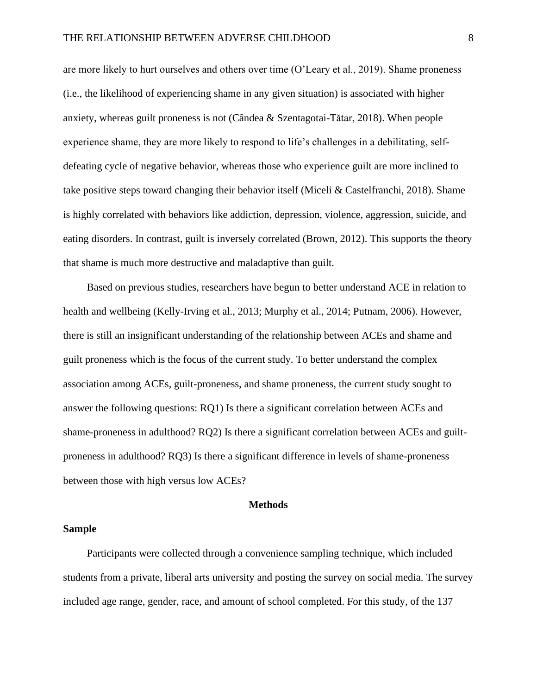are more likely to hurt ourselves and others over time (O'Leary et al., 2019). Shame proneness (i.e., the likelihood of experiencing shame in any given situation) is associated with higher anxiety, whereas guilt proneness is not (Cândea & Szentagotai-Tătar, 2018). When people experience shame, they are more likely to respond to life's challenges in a debilitating, selfdefeating cycle of negative behavior, whereas those who experience guilt are more inclined to take positive steps toward changing their behavior itself (Miceli & Castelfranchi, 2018). Shame is highly correlated with behaviors like addiction, depression, violence, aggression, suicide, and eating disorders. In contrast, guilt is inversely correlated (Brown, 2012). This supports the theory that shame is much more destructive and maladaptive than guilt.

Based on previous studies, researchers have begun to better understand ACE in relation to health and wellbeing (Kelly-Irving et al., 2013; Murphy et al., 2014; Putnam, 2006). However, there is still an insignificant understanding of the relationship between ACEs and shame and guilt proneness which is the focus of the current study. To better understand the complex association among ACEs, guilt-proneness, and shame proneness, the current study sought to answer the following questions: RQ1) Is there a significant correlation between ACEs and shame-proneness in adulthood? RQ2) Is there a significant correlation between ACEs and guiltproneness in adulthood? RQ3) Is there a significant difference in levels of shame-proneness between those with high versus low ACEs?

#### **Methods**

#### **Sample**

Participants were collected through a convenience sampling technique, which included students from a private, liberal arts university and posting the survey on social media. The survey included age range, gender, race, and amount of school completed. For this study, of the 137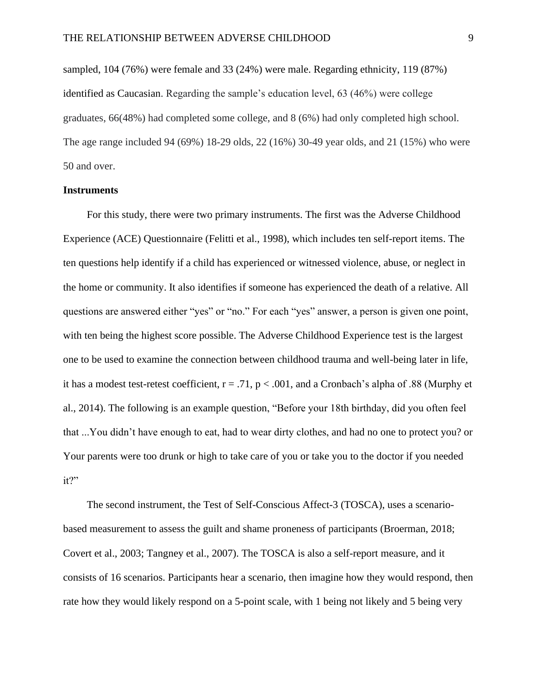sampled, 104 (76%) were female and 33 (24%) were male. Regarding ethnicity, 119 (87%) identified as Caucasian. Regarding the sample's education level, 63 (46%) were college graduates, 66(48%) had completed some college, and 8 (6%) had only completed high school. The age range included 94 (69%) 18-29 olds, 22 (16%) 30-49 year olds, and 21 (15%) who were 50 and over.

## **Instruments**

For this study, there were two primary instruments. The first was the Adverse Childhood Experience (ACE) Questionnaire (Felitti et al., 1998), which includes ten self-report items. The ten questions help identify if a child has experienced or witnessed violence, abuse, or neglect in the home or community. It also identifies if someone has experienced the death of a relative. All questions are answered either "yes" or "no." For each "yes" answer, a person is given one point, with ten being the highest score possible. The Adverse Childhood Experience test is the largest one to be used to examine the connection between childhood trauma and well-being later in life, it has a modest test-retest coefficient,  $r = .71$ ,  $p < .001$ , and a Cronbach's alpha of .88 (Murphy et al., 2014). The following is an example question, "Before your 18th birthday, did you often feel that ...You didn't have enough to eat, had to wear dirty clothes, and had no one to protect you? or Your parents were too drunk or high to take care of you or take you to the doctor if you needed it?"

The second instrument, the Test of Self-Conscious Affect-3 (TOSCA), uses a scenariobased measurement to assess the guilt and shame proneness of participants (Broerman, 2018; Covert et al., 2003; Tangney et al., 2007). The TOSCA is also a self-report measure, and it consists of 16 scenarios. Participants hear a scenario, then imagine how they would respond, then rate how they would likely respond on a 5-point scale, with 1 being not likely and 5 being very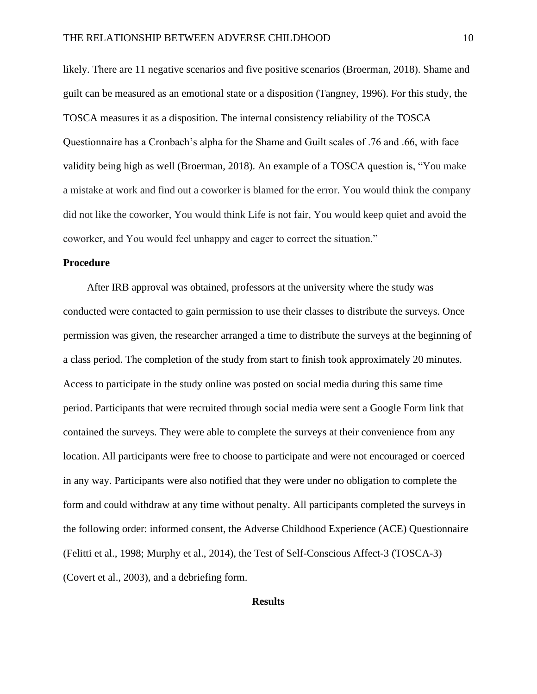likely. There are 11 negative scenarios and five positive scenarios (Broerman, 2018). Shame and guilt can be measured as an emotional state or a disposition (Tangney, 1996). For this study, the TOSCA measures it as a disposition. The internal consistency reliability of the TOSCA Questionnaire has a Cronbach's alpha for the Shame and Guilt scales of .76 and .66, with face validity being high as well (Broerman, 2018). An example of a TOSCA question is, "You make a mistake at work and find out a coworker is blamed for the error. You would think the company did not like the coworker, You would think Life is not fair, You would keep quiet and avoid the coworker, and You would feel unhappy and eager to correct the situation."

## **Procedure**

After IRB approval was obtained, professors at the university where the study was conducted were contacted to gain permission to use their classes to distribute the surveys. Once permission was given, the researcher arranged a time to distribute the surveys at the beginning of a class period. The completion of the study from start to finish took approximately 20 minutes. Access to participate in the study online was posted on social media during this same time period. Participants that were recruited through social media were sent a Google Form link that contained the surveys. They were able to complete the surveys at their convenience from any location. All participants were free to choose to participate and were not encouraged or coerced in any way. Participants were also notified that they were under no obligation to complete the form and could withdraw at any time without penalty. All participants completed the surveys in the following order: informed consent, the Adverse Childhood Experience (ACE) Questionnaire (Felitti et al., 1998; Murphy et al., 2014), the Test of Self-Conscious Affect-3 (TOSCA-3) (Covert et al., 2003), and a debriefing form.

## **Results**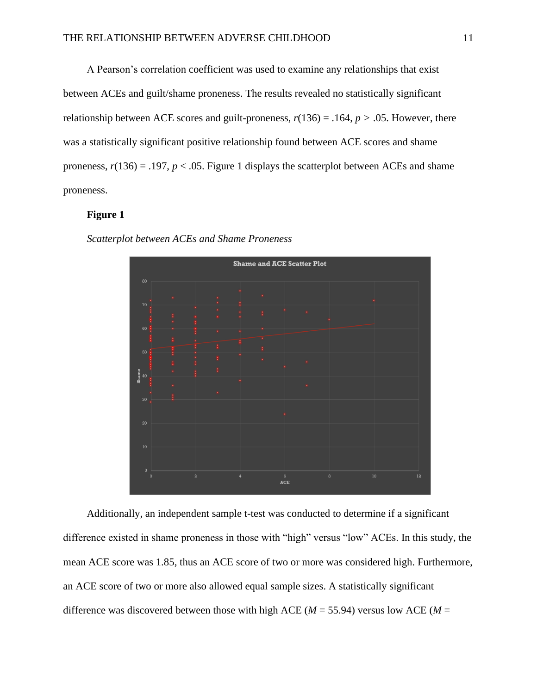A Pearson's correlation coefficient was used to examine any relationships that exist between ACEs and guilt/shame proneness. The results revealed no statistically significant relationship between ACE scores and guilt-proneness,  $r(136) = .164$ ,  $p > .05$ . However, there was a statistically significant positive relationship found between ACE scores and shame proneness,  $r(136) = .197$ ,  $p < .05$ . Figure 1 displays the scatterplot between ACEs and shame proneness.

## **Figure 1**

*Scatterplot between ACEs and Shame Proneness*



Additionally, an independent sample t-test was conducted to determine if a significant difference existed in shame proneness in those with "high" versus "low" ACEs. In this study, the mean ACE score was 1.85, thus an ACE score of two or more was considered high. Furthermore, an ACE score of two or more also allowed equal sample sizes. A statistically significant difference was discovered between those with high ACE ( $M = 55.94$ ) versus low ACE ( $M =$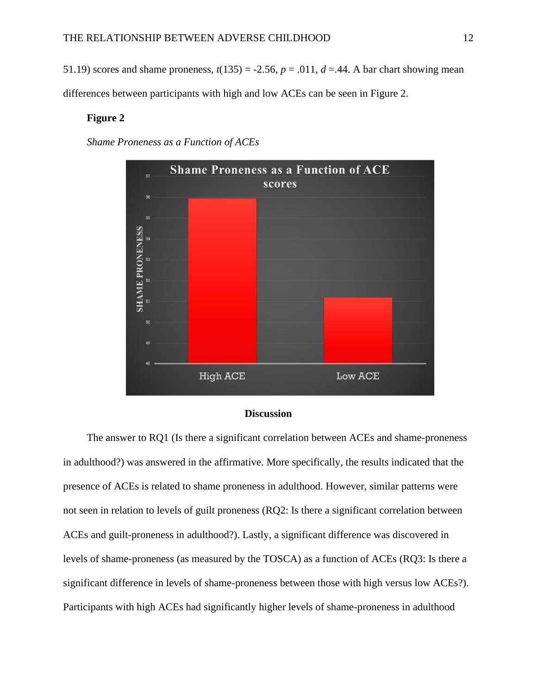51.19) scores and shame proneness,  $t(135) = -2.56$ ,  $p = .011$ ,  $d = .44$ . A bar chart showing mean

differences between participants with high and low ACEs can be seen in Figure 2.

## **Figure 2**

*Shame Proneness as a Function of ACEs*



#### **Discussion**

The answer to RQ1 (Is there a significant correlation between ACEs and shame-proneness in adulthood?) was answered in the affirmative. More specifically, the results indicated that the presence of ACEs is related to shame proneness in adulthood. However, similar patterns were not seen in relation to levels of guilt proneness (RQ2: Is there a significant correlation between ACEs and guilt-proneness in adulthood?). Lastly, a significant difference was discovered in levels of shame-proneness (as measured by the TOSCA) as a function of ACEs (RQ3: Is there a significant difference in levels of shame-proneness between those with high versus low ACEs?). Participants with high ACEs had significantly higher levels of shame-proneness in adulthood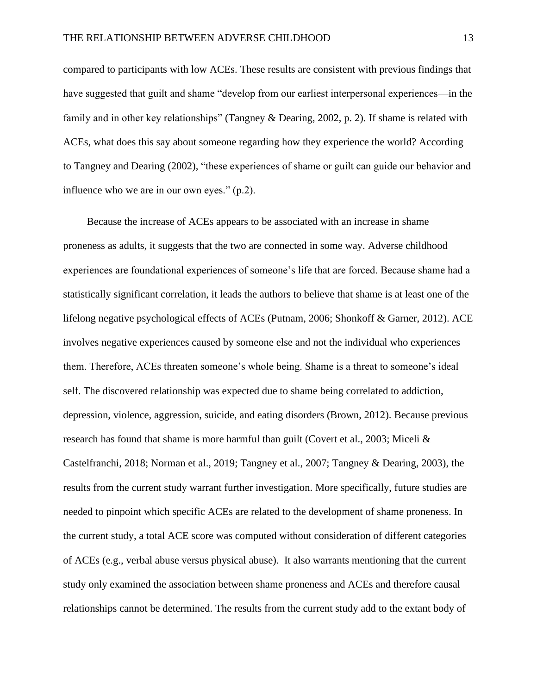compared to participants with low ACEs. These results are consistent with previous findings that have suggested that guilt and shame "develop from our earliest interpersonal experiences—in the family and in other key relationships" (Tangney & Dearing, 2002, p. 2). If shame is related with ACEs, what does this say about someone regarding how they experience the world? According to Tangney and Dearing (2002), "these experiences of shame or guilt can guide our behavior and influence who we are in our own eyes." (p.2).

Because the increase of ACEs appears to be associated with an increase in shame proneness as adults, it suggests that the two are connected in some way. Adverse childhood experiences are foundational experiences of someone's life that are forced. Because shame had a statistically significant correlation, it leads the authors to believe that shame is at least one of the lifelong negative psychological effects of ACEs (Putnam, 2006; Shonkoff & Garner, 2012). ACE involves negative experiences caused by someone else and not the individual who experiences them. Therefore, ACEs threaten someone's whole being. Shame is a threat to someone's ideal self. The discovered relationship was expected due to shame being correlated to addiction, depression, violence, aggression, suicide, and eating disorders (Brown, 2012). Because previous research has found that shame is more harmful than guilt (Covert et al., 2003; Miceli & Castelfranchi, 2018; Norman et al., 2019; Tangney et al., 2007; Tangney & Dearing, 2003), the results from the current study warrant further investigation. More specifically, future studies are needed to pinpoint which specific ACEs are related to the development of shame proneness. In the current study, a total ACE score was computed without consideration of different categories of ACEs (e.g., verbal abuse versus physical abuse). It also warrants mentioning that the current study only examined the association between shame proneness and ACEs and therefore causal relationships cannot be determined. The results from the current study add to the extant body of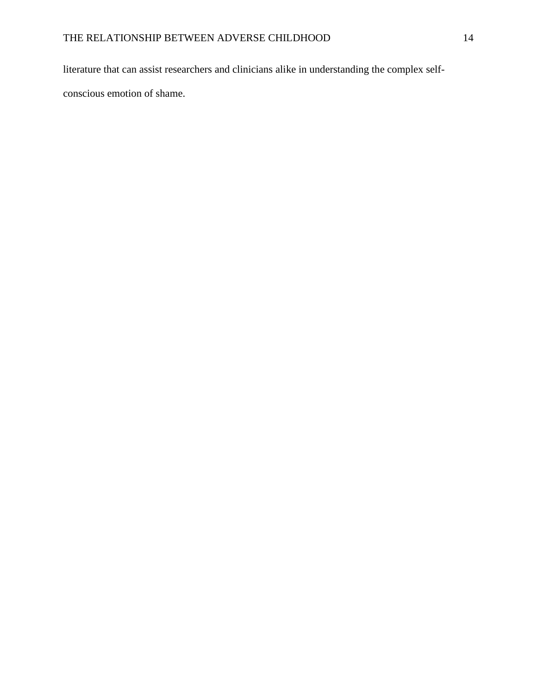literature that can assist researchers and clinicians alike in understanding the complex self-

conscious emotion of shame.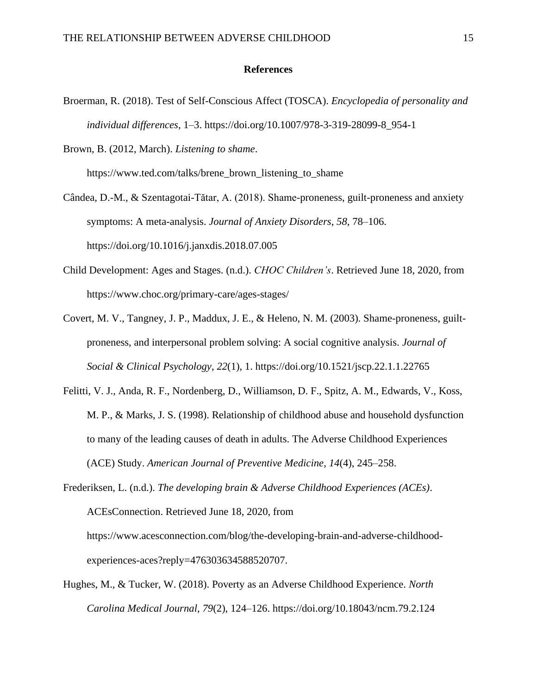## **References**

Broerman, R. (2018). Test of Self-Conscious Affect (TOSCA). *Encyclopedia of personality and individual differences*, 1–3. https://doi.org/10.1007/978-3-319-28099-8\_954-1

Brown, B. (2012, March). *Listening to shame*. https://www.ted.com/talks/brene\_brown\_listening\_to\_shame

Cândea, D.-M., & Szentagotai-Tătar, A. (2018). Shame-proneness, guilt-proneness and anxiety

symptoms: A meta-analysis. *Journal of Anxiety Disorders*, *58*, 78–106.

https://doi.org/10.1016/j.janxdis.2018.07.005

- Child Development: Ages and Stages. (n.d.). *CHOC Children's*. Retrieved June 18, 2020, from https://www.choc.org/primary-care/ages-stages/
- Covert, M. V., Tangney, J. P., Maddux, J. E., & Heleno, N. M. (2003). Shame-proneness, guiltproneness, and interpersonal problem solving: A social cognitive analysis. *Journal of Social & Clinical Psychology*, *22*(1), 1. https://doi.org/10.1521/jscp.22.1.1.22765
- Felitti, V. J., Anda, R. F., Nordenberg, D., Williamson, D. F., Spitz, A. M., Edwards, V., Koss, M. P., & Marks, J. S. (1998). Relationship of childhood abuse and household dysfunction to many of the leading causes of death in adults. The Adverse Childhood Experiences (ACE) Study. *American Journal of Preventive Medicine*, *14*(4), 245–258.
- Frederiksen, L. (n.d.). *The developing brain & Adverse Childhood Experiences (ACEs)*. ACEsConnection. Retrieved June 18, 2020, from https://www.acesconnection.com/blog/the-developing-brain-and-adverse-childhoodexperiences-aces?reply=476303634588520707.
- Hughes, M., & Tucker, W. (2018). Poverty as an Adverse Childhood Experience. *North Carolina Medical Journal*, *79*(2), 124–126. https://doi.org/10.18043/ncm.79.2.124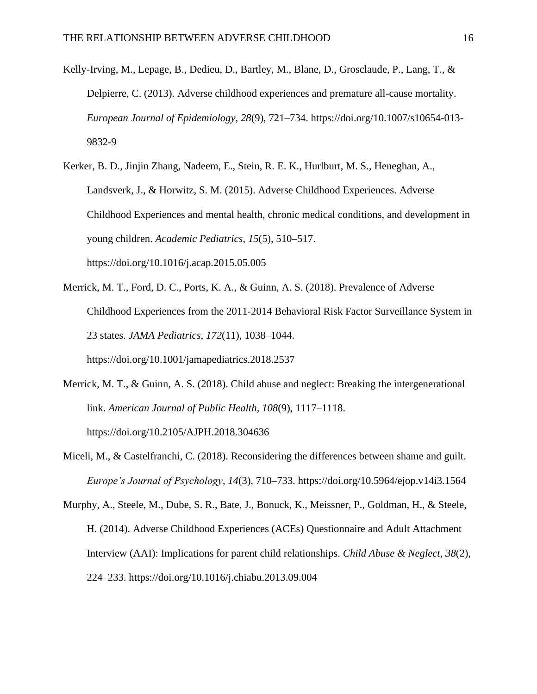- Kelly-Irving, M., Lepage, B., Dedieu, D., Bartley, M., Blane, D., Grosclaude, P., Lang, T., & Delpierre, C. (2013). Adverse childhood experiences and premature all-cause mortality. *European Journal of Epidemiology*, *28*(9), 721–734. https://doi.org/10.1007/s10654-013- 9832-9
- Kerker, B. D., Jinjin Zhang, Nadeem, E., Stein, R. E. K., Hurlburt, M. S., Heneghan, A., Landsverk, J., & Horwitz, S. M. (2015). Adverse Childhood Experiences. Adverse Childhood Experiences and mental health, chronic medical conditions, and development in young children. *Academic Pediatrics*, *15*(5), 510–517. https://doi.org/10.1016/j.acap.2015.05.005
- Merrick, M. T., Ford, D. C., Ports, K. A., & Guinn, A. S. (2018). Prevalence of Adverse Childhood Experiences from the 2011-2014 Behavioral Risk Factor Surveillance System in 23 states. *JAMA Pediatrics*, *172*(11), 1038–1044. https://doi.org/10.1001/jamapediatrics.2018.2537
- Merrick, M. T., & Guinn, A. S. (2018). Child abuse and neglect: Breaking the intergenerational link. *American Journal of Public Health*, *108*(9), 1117–1118. https://doi.org/10.2105/AJPH.2018.304636
- Miceli, M., & Castelfranchi, C. (2018). Reconsidering the differences between shame and guilt. *Europe's Journal of Psychology*, *14*(3), 710–733. https://doi.org/10.5964/ejop.v14i3.1564
- Murphy, A., Steele, M., Dube, S. R., Bate, J., Bonuck, K., Meissner, P., Goldman, H., & Steele, H. (2014). Adverse Childhood Experiences (ACEs) Questionnaire and Adult Attachment Interview (AAI): Implications for parent child relationships. *Child Abuse & Neglect*, *38*(2), 224–233. https://doi.org/10.1016/j.chiabu.2013.09.004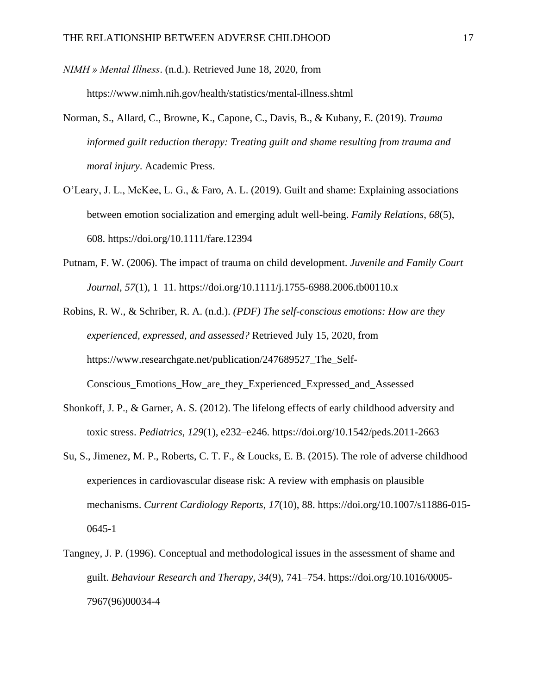*NIMH » Mental Illness*. (n.d.). Retrieved June 18, 2020, from https://www.nimh.nih.gov/health/statistics/mental-illness.shtml

- Norman, S., Allard, C., Browne, K., Capone, C., Davis, B., & Kubany, E. (2019). *Trauma informed guilt reduction therapy: Treating guilt and shame resulting from trauma and moral injury*. Academic Press.
- O'Leary, J. L., McKee, L. G., & Faro, A. L. (2019). Guilt and shame: Explaining associations between emotion socialization and emerging adult well-being. *Family Relations*, *68*(5), 608. https://doi.org/10.1111/fare.12394
- Putnam, F. W. (2006). The impact of trauma on child development. *Juvenile and Family Court Journal*, *57*(1), 1–11. https://doi.org/10.1111/j.1755-6988.2006.tb00110.x

Robins, R. W., & Schriber, R. A. (n.d.). *(PDF) The self-conscious emotions: How are they experienced, expressed, and assessed?* Retrieved July 15, 2020, from https://www.researchgate.net/publication/247689527\_The\_Self-Conscious\_Emotions\_How\_are\_they\_Experienced\_Expressed\_and\_Assessed

- Shonkoff, J. P., & Garner, A. S. (2012). The lifelong effects of early childhood adversity and toxic stress. *Pediatrics*, *129*(1), e232–e246. https://doi.org/10.1542/peds.2011-2663
- Su, S., Jimenez, M. P., Roberts, C. T. F., & Loucks, E. B. (2015). The role of adverse childhood experiences in cardiovascular disease risk: A review with emphasis on plausible mechanisms. *Current Cardiology Reports*, *17*(10), 88. https://doi.org/10.1007/s11886-015- 0645-1
- Tangney, J. P. (1996). Conceptual and methodological issues in the assessment of shame and guilt. *Behaviour Research and Therapy*, *34*(9), 741–754. https://doi.org/10.1016/0005- 7967(96)00034-4